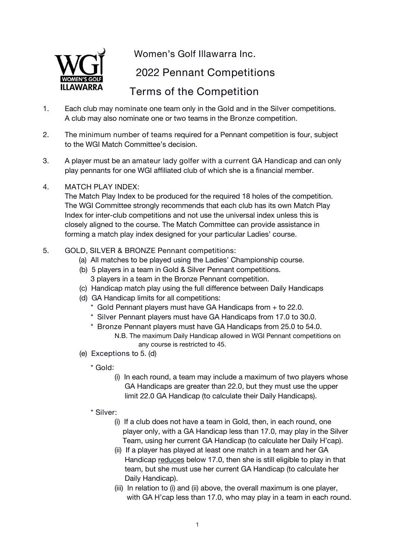

**Women's Golf Illawarra Inc.**

**2022 Pennant Competitions**

# **Terms of the Competition**

- 1. Each club may **nominate** one team only in the **Gold** and in the **Silver** competitions. A club may also nominate one or two teams in the **Bronze** competition.
- 2. The **minimum number of teams** required for a Pennant competition is four, subject to the WGI Match Committee's decision.
- 3. A player must be an **amateur lady golfer with a currentGA Handicap** and can only play pennants for one WGI affiliated club of which she is a financial member.
- 4. **MATCH PLAY INDEX**:

The Match Play Index to be produced for the required 18 holes of the competition. The WGI Committee strongly recommends that each club has its own Match Play Index for inter-club competitions and not use the universal index unless this is closely aligned to the course. The Match Committee can provide assistance in forming a match play index designed for your particular Ladies' course.

- 5. **GOLD, SILVER & BRONZE Pennant competitions:**
	- (a) All matches to be played using the Ladies' Championship course.
	- (b) 5 players in a team in Gold & Silver Pennant competitions. 3 players in a team in the Bronze Pennant competition.
	- (c) Handicap match play using the full difference between Daily Handicaps
	- (d) GA Handicap limits for all competitions:
		- \* **Gold** Pennant players must have GA Handicaps from **+** to **22.0**.
		- \* **Silver** Pennant players must have GA Handicaps from **17.0** to **30.0**.
		- \* **Bronze** Pennant players must have GA Handicaps from **25.0** to **54.0**. N.B. The maximum Daily Handicap allowed in WGI Pennant competitions on any course is restricted to 45.
	- (e) **Exceptions** to 5. (d)

**\* Gold**:

- (i) In each round, a team may include a maximum of two players whose GA Handicaps are greater than 22.0, but they must use the upper limit 22.0 GA Handicap (to calculate their Daily Handicaps).
- **\* Silver**:
	- (i) If a club does not have a team in Gold, then, in each round, one player only, with a GA Handicap less than 17.0, may play in the Silver Team, using her current GA Handicap (to calculate her Daily H'cap).
	- (ii) If a player has played at least one match in a team and her GA Handicap reduces below 17.0, then she is still eligible to play in that team, but she must use her current GA Handicap (to calculate her Daily Handicap).
	- (iii) In relation to (i) and (ii) above, the overall maximum is one player, with GA H'cap less than 17.0, who may play in a team in each round.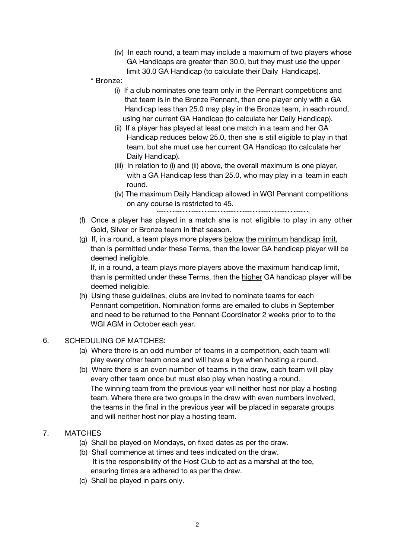- (iv) In each round, a team may include a maximum of two players whose GA Handicaps are greater than 30.0, but they must use the upper limit 30.0 GA Handicap (to calculate their Daily Handicaps).
- **\* Bronze**:
	- (i) If a club nominates one team only in the Pennant competitions and that team is in the Bronze Pennant, then one player only with a GA Handicap less than 25.0 may play in the Bronze team, in each round, using her current GA Handicap (to calculate her Daily Handicap).
	- (ii) If a player has played at least one match in a team and her GA Handicap reduces below 25.0, then she is still eligible to play in that team, but she must use her current GA Handicap (to calculate her Daily Handicap).
	- (iii) In relation to (i) and (ii) above, the overall maximum is one player, with a GA Handicap less than 25.0, who may play in a team in each round.
	- (iv) The maximum Daily Handicap allowed in WGI Pennant competitions on any course is restricted to 45.

~~~~~~~~~~~~~~~~~~~~~~~~~~~~~~~~~~~~~~~~~~~~~~~~

- (f) Once a player has played in a match she is **not eligible to play in any other** Gold, Silver or Bronze **team** in that season.
- (g) If, in a round, a team plays more players below the minimum handicap limit, than is permitted under these Terms, then the lower GA handicap player will be deemed ineligible.

If, in a round, a team plays more players above the maximum handicap limit, than is permitted under these Terms, then the higher GA handicap player will be deemed ineligible.

(h) Using these guidelines, clubs are invited to nominate teams for each Pennant competition. Nomination forms are emailed to clubs in September and need to be returned to the Pennant Coordinator 2 weeks prior to to the WGI AGM in October each year.

#### 6. **SCHEDULING OF MATCHES**:

- (a) Where there is an **odd number of teams** in a competition, each team will play every other team once and will have a bye when hosting a round.
- (b) Where there is an **even numberof teams** in the draw, each team will play every other team once but must also play when hosting a round. The winning team from the previous year will neither host nor play a hosting team. Where there are two groups in the draw with even numbers involved, the teams in the final in the previous year will be placed in separate groups and will neither host nor play a hosting team.

# 7. **MATCHES**

- (a) Shall be played on Mondays, on fixed dates as per the draw.
- (b) Shall commence at times and tees indicated on the draw. *It is the responsibility of the Host Club to act as a marshal at the tee, ensuring times are adhered to as per the draw.*
- (c) Shall be played in pairs only.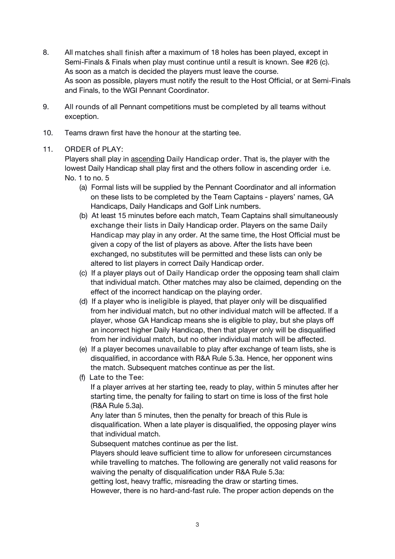- 8. All **matches shall finish** after a maximum of 18 holes has been played, except in Semi-Finals & Finals when play must continue until a result is known. See #26 (c). As soon as a match is decided the players must leave the course. As soon as possible, players must notify the result to the Host Official, or at Semi-Finals and Finals, to the WGI Pennant Coordinator.
- 9. **All rounds** of all Pennant competitions must be **completed** by all teams without exception.
- 10. Teams drawn first have the **honour** at the starting tee.

# 11. **ORDER of PLAY**:

Players shall play in ascending **Daily Handicap order**. That is, the player with the lowest Daily Handicap shall play first and the others follow in ascending order i.e. No. 1 to no. 5

- (a) Formal lists will be supplied by the Pennant Coordinator and all information on these lists to be completed by the Team Captains - players' names, GA Handicaps, Daily Handicaps and Golf Link numbers.
- (b) *At least* 15 minutes before each match, Team Captains shall simultaneously **exchange their lists** in Daily Handicap order. Players on the **same Daily Handicap** may play in any order. At the same time, the Host Official must be given a copy of the list of players as above. After the lists have been exchanged, no substitutes will be permitted and these lists can only be altered to list players in correct Daily Handicap order.
- (c) If a player plays **out of Daily Handicap order** the opposing team shall claim that individual match. Other matches may also be claimed, depending on the effect of the incorrect handicap on the playing order.
- (d) If a player who is **ineligible** is played, that player only will be disqualified from her individual match, but no other individual match will be affected. If a player, whose GA Handicap means she is eligible to play, but she plays off an incorrect higher Daily Handicap, then that player only will be disqualified from her individual match, but no other individual match will be affected.
- (e) If a player becomes **unavailable** to play after exchange of team lists, she is disqualified, in accordance with R&A Rule 5.3a. Hence, her opponent wins the match. Subsequent matches continue as per the list.
- (f) **Late to the Tee**:

If a player arrives at her starting tee, ready to play, within 5 minutes after her starting time, the penalty for failing to start on time is loss of the first hole (R&A Rule 5.3a).

Any later than 5 minutes, then the penalty for breach of this Rule is disqualification. When a late player is disqualified, the opposing player wins that individual match.

Subsequent matches continue as per the list.

Players should leave sufficient time to allow for unforeseen circumstances while travelling to matches. The following are generally not valid reasons for waiving the penalty of disqualification under R&A Rule 5.3a:

getting lost, heavy traffic, misreading the draw or starting times.

However, there is no hard-and-fast rule. The proper action depends on the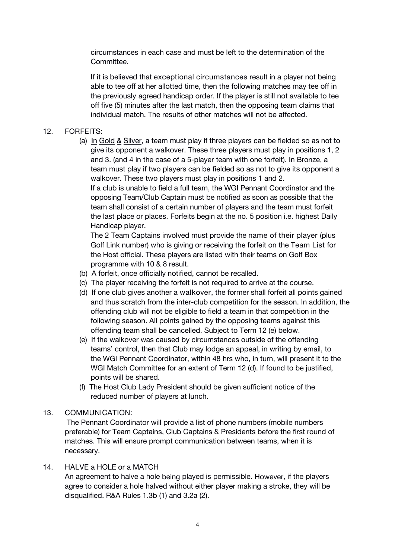circumstances in each case and must be left to the determination of the Committee.

If it is believed that **exceptional circumstances** result in a player not being able to tee off at her allotted time, then the following matches may tee off in the previously agreed handicap order. If the player is still not available to tee off five (5) minutes after the last match, then the opposing team claims that individual match. The results of other matches will not be affected.

# 12. **FORFEITS**:

(a) In Gold  $& Silver$ , a team must play if three players can be fielded so as not to give its opponent a walkover. These three players must play in positions 1, 2 and 3. (and 4 in the case of a 5-player team with one forfeit). In Bronze, a team must play if two players can be fielded so as not to give its opponent a walkover. These two players must play in positions 1 and 2.

If a club is unable to field a full team, the *WGI Pennant Coordinator and the opposing Team/Club Captain must be notified as soon as possible* that the team shall consist of a certain number of players and the team must forfeit the last place or places. Forfeits begin at the no. 5 position i.e. highest Daily Handicap player.

The 2 Team Captains involved must provide the **name of their player** (plus Golf Link number) who is giving or receiving the forfeit on the **Team List** for the Host official. These players are listed with their teams on Golf Box programme with 10 & 8 result.

- (b) A forfeit, once officially notified, cannot be recalled.
- (c) The player receiving the forfeit is not required to arrive at the course.
- (d) If one club gives another a **walkover**, the former shall forfeit all points gained and thus scratch from the inter-club competition for the season. In addition, the offending club will not be eligible to field a team in that competition in the following season. All points gained by the opposing teams against this offending team shall be cancelled. Subject to Term 12 (e) below.
- (e) If the walkover was caused by circumstances outside of the offending teams' control, then that Club may lodge an appeal, in writing by email, to the WGI Pennant Coordinator, within 48 hrs who, in turn, will present it to the WGI Match Committee for an extent of Term 12 (d). If found to be justified, points will be shared.
- (f) The Host Club Lady President should be given sufficient notice of the reduced number of players at lunch.

### 13. **COMMUNICATION**:

The Pennant Coordinator will provide a list of phone numbers (mobile numbers preferable) for Team Captains, Club Captains & Presidents before the first round of matches. This will ensure prompt communication between teams, when it is necessary.

#### 14. **HALVE** a HOLE or a MATCH

An agreement to halve a hole *being* played is permissible. *However*, if the players agree to consider a hole halved without either player making a stroke, they will be disqualified. R&A Rules 1.3b (1) and 3.2a (2).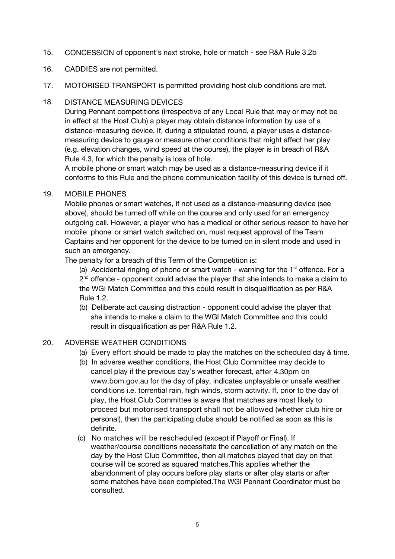15. **CONCESSION** of opponent's *next* stroke, hole or match - see R&A Rule 3.2b

# 16. **CADDIES** are not permitted.

17. **MOTORISED TRANSPORT** is permitted providing host club conditions are met.

# 18. **DISTANCE MEASURING DEVICES**

During Pennant competitions (irrespective of any Local Rule that may or may not be in effect at the Host Club) a player may obtain distance information by use of a distance-measuring device. If, during a stipulated round, a player uses a distance measuring device to gauge or measure other conditions that might affect her play (e.g. elevation changes, wind speed at the course), the player is in breach of R&A Rule 4.3, for which the penalty is loss of hole.

A mobile phone or smart watch may be used as a distance-measuring device if it conforms to this Rule and the phone communication facility of this device is turned off.

#### 19. **MOBILE PHONES**

Mobile phones or smart watches, if not used as a distance-measuring device (see above), should be turned offwhile on the course and only used for an emergency outgoing call. However, a player who has a medical or other serious reason to have her mobile phone or smart watch switched on, must request approval of the Team Captains and her opponent for the device to be turned on in silent mode and used in such an emergency.

The penalty for a breach of this Term of the Competition is:

(a) Accidental ringing of phone or smart watch - warning for the 1<sup>st</sup> offence. For a 2<sup>nd</sup> offence - opponent could advise the player that she intends to make a claim to the WGI Match Committee and this could result in disqualification as per R&A Rule 1.2.

(b) Deliberate act causing distraction - opponent could advise the player that she intends to make a claim to the WGI Match Committee and this could result in disqualification as per R&A Rule 1.2.

# 20. **ADVERSE WEATHER CONDITIONS**

- (a) **Every effort** should be made to play the matches on the scheduled day & time.
- (b) In adverse weather conditions, the Host Club Committee may decide to cancel play if the previous day's weather forecast, **after 4.30pm** on www.bom.gov.au for the day of play, indicates unplayable or unsafe weather conditions i.e. torrential rain, high winds, storm activity. If, prior to the day of play, the Host Club Committee is aware that matches are most likely to proceed but **motorised transport shall not be allowed** (whether club hire or personal), then the participating clubs should be notified as soon as this is definite.
- (c) **No matches will be rescheduled** (except if Playoff or Final). If weather/course conditions necessitate the cancellation of any match on the day by the Host Club Committee, then all matches played that day on that course will be scored as squared matches.This applies whether the abandonment of play occurs before play starts or after play starts or after some matches have been completed.The WGI Pennant Coordinator must be consulted.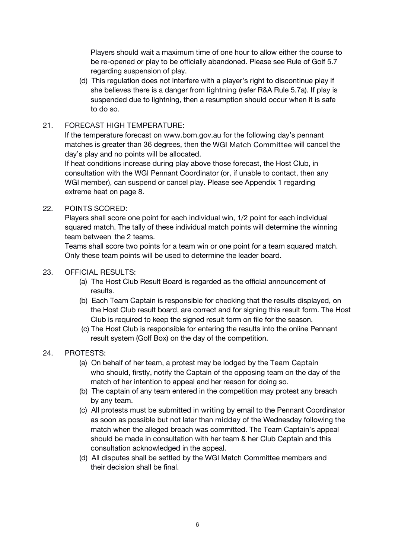Players should wait a maximum time of one hour to allow either the course to be re-opened or play to be officially abandoned. Please see Rule of Golf 5.7 regarding suspension of play.

(d) This regulation does not interfere with a player's right to discontinue play if she believes there is a danger from **lightning** (refer R&A Rule 5.7a). If play is suspended due to lightning, then a resumption should occur when it is safe to do so.

# 21. **FORECAST HIGH TEMPERATURE**:

If the temperature forecast on www.bom.gov.au for the following day's pennant matches is greater than 36 degrees, then the *WGI Match Committee* will cancel the day's play and no points will be allocated.

If heat conditions increase during play above those forecast, the Host Club, in consultation with the WGI Pennant Coordinator (or, if unable to contact, then any WGI member), can suspend or cancel play. Please see Appendix 1 regarding extreme heat on page 8.

22. **POINTS SCORED**:

Players shall score one point for each individual win, 1/2 point for each individual squared match. The tally of these individual match points will determine the winning team between the 2 teams.

Teams shall score two points for a team win or one point for a team squared match. Only these team points will be used to determine the leader board.

## 23. **OFFICIAL RESULTS**:

- (a) The Host Club Result Board is regarded as the official announcement of results.
- (b) Each Team Captain is responsible for checking that the results displayed, on the Host Club result board, are correct a*nd for signing this result form. The Host Club is required to keep the signed result form on file for the season.*
- (c) The Host Club is responsible for entering the results into the online Pennant result system (Golf Box) on the day of the competition.

# 24. **PROTESTS**:

- (a) On behalf of her team, a protest may be lodged by the **Team Captain** who should, firstly, notify the Captain of the opposing team on the day of the match of her intention to appeal and her reason for doing so.
- (b) The captain of any team entered in the competition may protest any breach by any team.
- (c) All protests must be submitted in **writing** by email to the Pennant Coordinator as soon as possible but not later than **midday** of the Wednesday following the match when the alleged breach was committed. The Team Captain's appeal should be made in consultation with her team & her Club Captain and this consultation acknowledged in the appeal.
- (d) All disputes shall be settled by the WGI Match Committee members and their decision shall be final.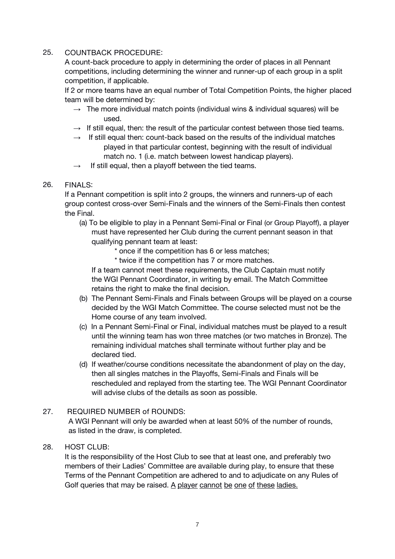### 25. **COUNTBACK PROCEDURE**:

A count-back procedure to apply in determining the order of places in all Pennant competitions, including determining the winner and runner-up of each group in a split competition, if applicable.

If 2 or more teams have an equal number of Total Competition Points, the higher placed team will be determined by:

- $\rightarrow$  The more individual match points (individual wins & individual squares) will be used.
- $\rightarrow$  If still equal, then: the result of the particular contest between those tied teams.
- $\rightarrow$  If still equal then: count-back based on the results of the individual matches played in that particular contest, beginning with the result of individual match no. 1 (i.e. match between lowest handicap players).
- $\rightarrow$  If still equal, then a playoff between the tied teams.

## 26. **FINALS**:

If a Pennant competition is split into 2 groups, the winners and runners-up of each group contest cross-over Semi-Finals and the winners of the Semi-Finals then contest the Final.

- (a) To be eligible to play in a Pennant Semi-Final or Final (or Group Playoff), a player must have represented her Club during the current pennant season in that qualifying pennant team at least:
	- \* once if the competition has 6 or less matches;
	- \* twice if the competition has 7 or more matches.

If a team cannot meet these requirements, the Club Captain must notify the WGI Pennant Coordinator, in writing by email. The Match Committee retains the right to make the final decision.

- (b) The Pennant Semi-Finals and Finals between Groups will be played on a course decided by the WGI Match Committee. The course selected must not be the Home course of any team involved.
- (c) In a Pennant Semi-Final or Final, individual matches must be played to a result until the winning team has won three matches (or two matches in Bronze). The remaining individual matches shall terminate without further play and be declared tied.
- (d) If weather/course conditions necessitate the abandonment of play on the day, then *all* singles matches in the Playoffs, Semi-Finals and Finals will be rescheduled and replayed from the starting tee. The WGI Pennant Coordinator will advise clubs of the details as soon as possible.<br>27. **REQUIRED NUMBER** of ROUNDS:

A WGI Pennant will only be awarded when at least 50% of the number of rounds, as listed in the draw, is completed.

#### 28. **HOST CLUB**:

It is the responsibility of the Host Club to see that at least one, and preferably two members of their Ladies' Committee are available during play, to ensure that these Terms of the Pennant Competition are adhered to and to adjudicate on any Rules of Golf queries that may be raised. A player cannot be one of these ladies.